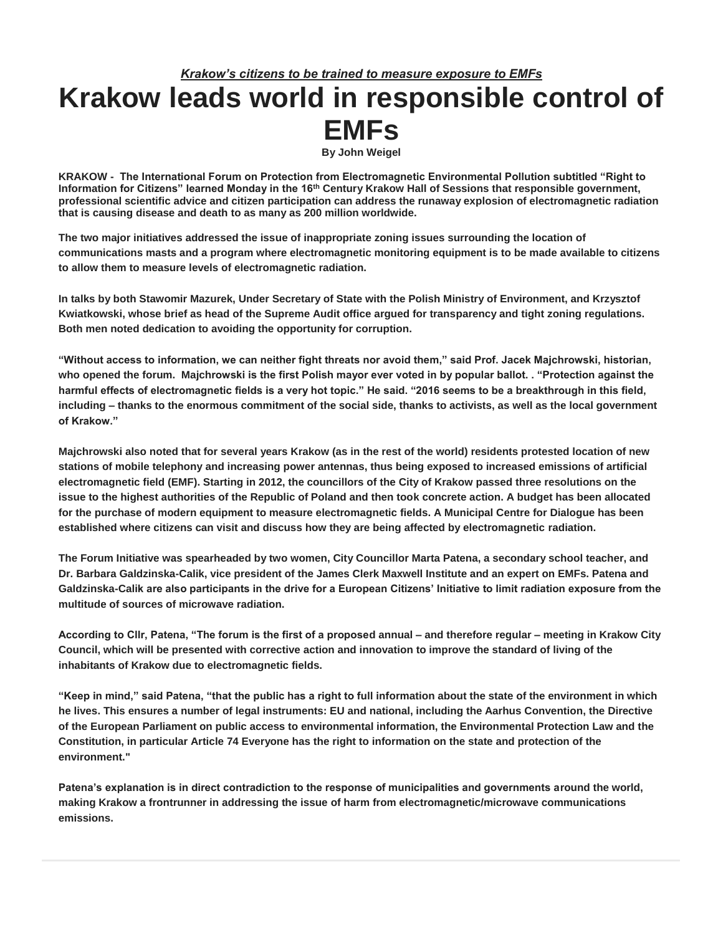## *Krakow's citizens to be trained to measure exposure to EMFs* **Krakow leads world in responsible control of EMFs By John Weigel**

**KRAKOW - The International Forum on Protection from Electromagnetic Environmental Pollution subtitled "Right to Information for Citizens" learned Monday in the 16th Century Krakow Hall of Sessions that responsible government, professional scientific advice and citizen participation can address the runaway explosion of electromagnetic radiation that is causing disease and death to as many as 200 million worldwide.**

**The two major initiatives addressed the issue of inappropriate zoning issues surrounding the location of communications masts and a program where electromagnetic monitoring equipment is to be made available to citizens to allow them to measure levels of electromagnetic radiation.**

**In talks by both Stawomir Mazurek, Under Secretary of State with the Polish Ministry of Environment, and Krzysztof Kwiatkowski, whose brief as head of the Supreme Audit office argued for transparency and tight zoning regulations. Both men noted dedication to avoiding the opportunity for corruption.**

**"Without access to information, we can neither fight threats nor avoid them," said Prof. Jacek Majchrowski, historian, who opened the forum. Majchrowski is the first Polish mayor ever voted in by popular ballot. . "Protection against the harmful effects of electromagnetic fields is a very hot topic." He said. "2016 seems to be a breakthrough in this field, including – thanks to the enormous commitment of the social side, thanks to activists, as well as the local government of Krakow."**

**Majchrowski also noted that for several years Krakow (as in the rest of the world) residents protested location of new stations of mobile telephony and increasing power antennas, thus being exposed to increased emissions of artificial electromagnetic field (EMF). Starting in 2012, the councillors of the City of Krakow passed three resolutions on the issue to the highest authorities of the Republic of Poland and then took concrete action. A budget has been allocated for the purchase of modern equipment to measure electromagnetic fields. A Municipal Centre for Dialogue has been established where citizens can visit and discuss how they are being affected by electromagnetic radiation.**

**The Forum Initiative was spearheaded by two women, City Councillor Marta Patena, a secondary school teacher, and Dr. Barbara Galdzinska-Calik, vice president of the James Clerk Maxwell Institute and an expert on EMFs. Patena and Galdzinska-Calik are also participants in the drive for a European Citizens' Initiative to limit radiation exposure from the multitude of sources of microwave radiation.**

**According to Cllr, Patena, "The forum is the first of a proposed annual – and therefore regular – meeting in Krakow City Council, which will be presented with corrective action and innovation to improve the standard of living of the inhabitants of Krakow due to electromagnetic fields.**

**"Keep in mind," said Patena, "that the public has a right to full information about the state of the environment in which he lives. This ensures a number of legal instruments: EU and national, including the Aarhus Convention, the Directive of the European Parliament on public access to environmental information, the Environmental Protection Law and the Constitution, in particular Article 74 Everyone has the right to information on the state and protection of the environment."**

**Patena's explanation is in direct contradiction to the response of municipalities and governments around the world, making Krakow a frontrunner in addressing the issue of harm from electromagnetic/microwave communications emissions.**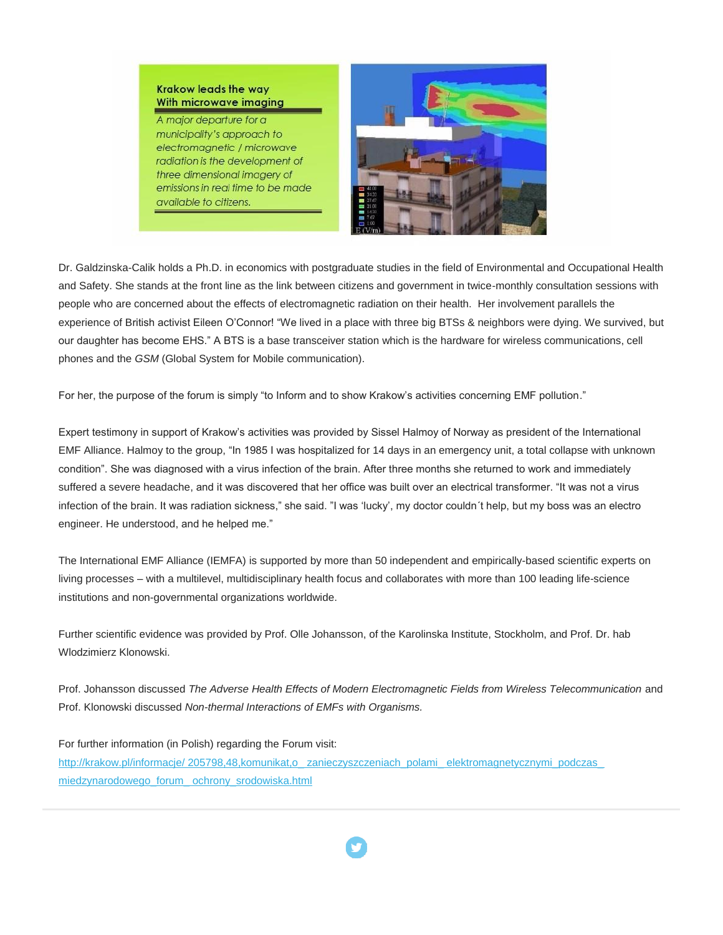## **Krakow leads the way** With microwave imaging

A major departure for a municipality's approach to electromagnetic / microwave radiation is the development of three dimensional imagery of emissions in real time to be made available to citizens.



Dr. Galdzinska-Calik holds a Ph.D. in economics with postgraduate studies in the field of Environmental and Occupational Health and Safety. She stands at the front line as the link between citizens and government in twice-monthly consultation sessions with people who are concerned about the effects of electromagnetic radiation on their health. Her involvement parallels the experience of British activist Eileen O'Connor! "We lived in a place with three big BTSs & neighbors were dying. We survived, but our daughter has become EHS." A BTS is a base transceiver station which is the hardware for wireless communications, cell phones and the *GSM* (Global System for Mobile communication).

For her, the purpose of the forum is simply "to Inform and to show Krakow's activities concerning EMF pollution."

Expert testimony in support of Krakow's activities was provided by Sissel Halmoy of Norway as president of the International EMF Alliance. Halmoy to the group, "In 1985 I was hospitalized for 14 days in an emergency unit, a total collapse with unknown condition". She was diagnosed with a virus infection of the brain. After three months she returned to work and immediately suffered a severe headache, and it was discovered that her office was built over an electrical transformer. "It was not a virus infection of the brain. It was radiation sickness," she said. "I was 'lucky', my doctor couldn´t help, but my boss was an electro engineer. He understood, and he helped me."

The International EMF Alliance (IEMFA) is supported by more than 50 independent and empirically-based scientific experts on living processes – with a multilevel, multidisciplinary health focus and collaborates with more than 100 leading life-science institutions and non-governmental organizations worldwide.

Further scientific evidence was provided by Prof. Olle Johansson, of the Karolinska Institute, Stockholm, and Prof. Dr. hab Wlodzimierz Klonowski.

Prof. Johansson discussed The Adverse Health Effects of Modern Electromagnetic Fields from Wireless Telecommunication and Prof. Klonowski discussed *Non-thermal Interactions of EMFs with Organisms.*

For further information (in Polish) regarding the Forum visit: http://krakow.pl/informacje/ 205798,48,komunikat,o\_ zanieczyszczeniach\_polami\_ elektromagnetycznymi\_podczas\_ [miedzynarodowego\\_forum\\_ ochrony\\_srodowiska.html](http://linkedin.us13.list-manage.com/track/click?u=19e497ca4e99f9a2c1ebc6663&id=eddec9c093&e=b578c4af3b)